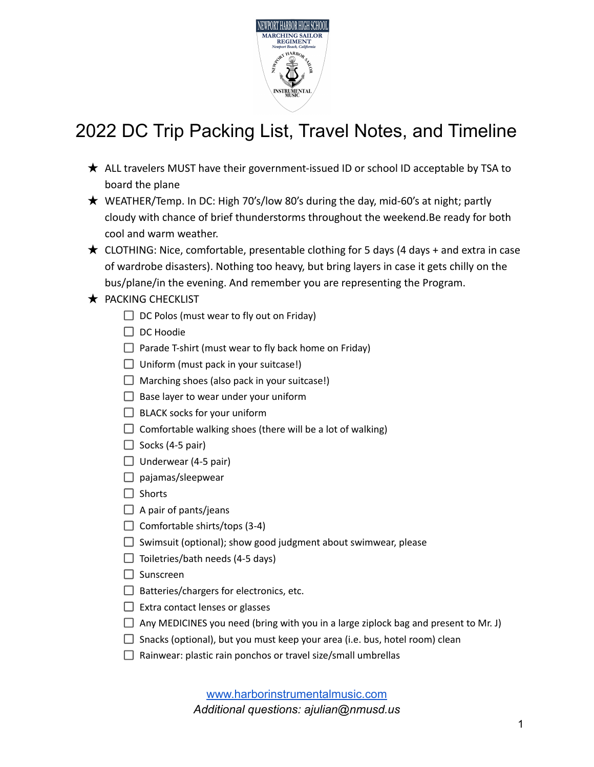

# 2022 DC Trip Packing List, Travel Notes, and Timeline

- ★ ALL travelers MUST have their government-issued ID or school ID acceptable by TSA to board the plane
- ★ WEATHER/Temp. In DC: High 70's/low 80's during the day, mid-60's at night; partly cloudy with chance of brief thunderstorms throughout the weekend.Be ready for both cool and warm weather.
- $\star$  CLOTHING: Nice, comfortable, presentable clothing for 5 days (4 days + and extra in case of wardrobe disasters). Nothing too heavy, but bring layers in case it gets chilly on the bus/plane/in the evening. And remember you are representing the Program.
- ★ PACKING CHECKLIST
	- $\Box$  DC Polos (must wear to fly out on Friday)
	- $\Box$  DC Hoodie
	- $\Box$  Parade T-shirt (must wear to fly back home on Friday)
	- $\Box$  Uniform (must pack in your suitcase!)
	- $\Box$  Marching shoes (also pack in your suitcase!)
	- $\Box$  Base layer to wear under your uniform
	- $\Box$  BLACK socks for your uniform
	- $\Box$  Comfortable walking shoes (there will be a lot of walking)
	- $\Box$  Socks (4-5 pair)
	- $\Box$  Underwear (4-5 pair)
	- $\Box$  pajamas/sleepwear
	- $\Box$  Shorts
	- $\Box$  A pair of pants/jeans
	- $\Box$  Comfortable shirts/tops (3-4)
	- $\Box$  Swimsuit (optional); show good judgment about swimwear, please
	- $\Box$  Toiletries/bath needs (4-5 days)
	- $\Box$  Sunscreen
	- $\Box$  Batteries/chargers for electronics, etc.
	- $\Box$  Extra contact lenses or glasses
	- $\Box$  Any MEDICINES you need (bring with you in a large ziplock bag and present to Mr. J)
	- $\Box$  Snacks (optional), but you must keep your area (i.e. bus, hotel room) clean
	- $\Box$  Rainwear: plastic rain ponchos or travel size/small umbrellas

[www.harborinstrumentalmusic.com](http://www.harborinstrumentalmusic.com) *Additional questions: ajulian@nmusd.us*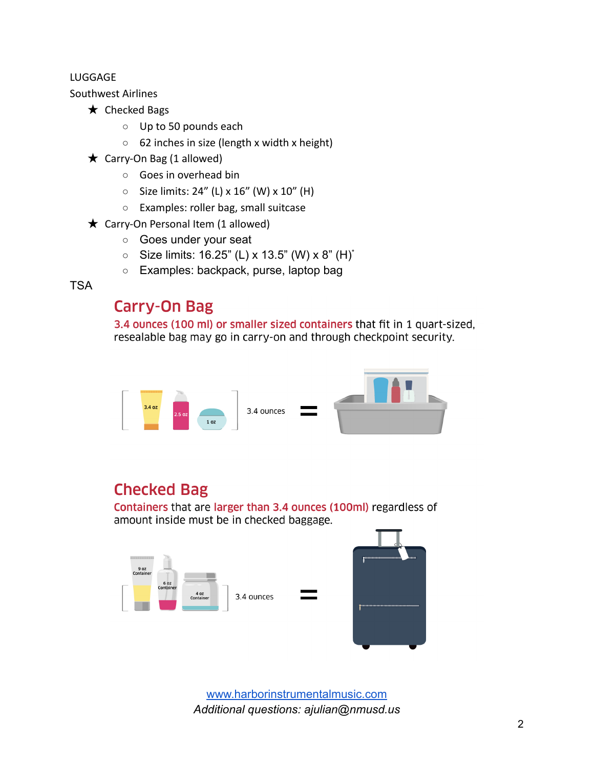#### LUGGAGE

Southwest Airlines

- $\star$  Checked Bags
	- Up to 50 pounds each
	- 62 inches in size (length x width x height)
- $\bigstar$  Carry-On Bag (1 allowed)
	- Goes in overhead bin
	- $\circ$  Size limits: 24" (L) x 16" (W) x 10" (H)
	- Examples: roller bag, small suitcase
- $\star$  Carry-On Personal Item (1 allowed)
	- Goes under your seat
	- Size limits:  $16.25$ " (L) x  $13.5$ " (W) x  $8$ " (H)<sup>\*</sup>
	- Examples: backpack, purse, laptop bag

**TSA** 

### **Carry-On Bag**

3.4 ounces (100 ml) or smaller sized containers that fit in 1 quart-sized, resealable bag may go in carry-on and through checkpoint security.



### **Checked Bag**

Containers that are larger than 3.4 ounces (100ml) regardless of amount inside must be in checked baggage.



[www.harborinstrumentalmusic.com](http://www.harborinstrumentalmusic.com) *Additional questions: ajulian@nmusd.us*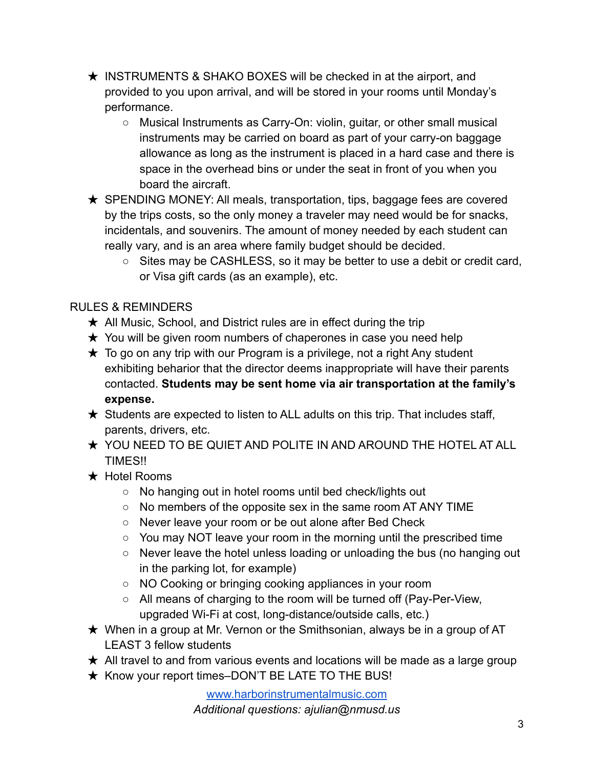- ★ INSTRUMENTS & SHAKO BOXES will be checked in at the airport, and provided to you upon arrival, and will be stored in your rooms until Monday's performance.
	- Musical Instruments as Carry-On: violin, quitar, or other small musical instruments may be carried on board as part of your carry-on baggage allowance as long as the instrument is placed in a hard case and there is space in the overhead bins or under the seat in front of you when you board the aircraft.
- $\star$  SPENDING MONEY: All meals, transportation, tips, baggage fees are covered by the trips costs, so the only money a traveler may need would be for snacks, incidentals, and souvenirs. The amount of money needed by each student can really vary, and is an area where family budget should be decided.
	- Sites may be CASHLESS, so it may be better to use a debit or credit card, or Visa gift cards (as an example), etc.

#### RULES & REMINDERS

- $\star$  All Music, School, and District rules are in effect during the trip
- $\star$  You will be given room numbers of chaperones in case you need help
- $\star$  To go on any trip with our Program is a privilege, not a right Any student exhibiting beharior that the director deems inappropriate will have their parents contacted. **Students may be sent home via air transportation at the family's expense.**
- $\star$  Students are expected to listen to ALL adults on this trip. That includes staff, parents, drivers, etc.
- ★ YOU NEED TO BE QUIET AND POLITE IN AND AROUND THE HOTEL AT ALL **TIMES!!**
- ★ Hotel Rooms
	- No hanging out in hotel rooms until bed check/lights out
	- No members of the opposite sex in the same room AT ANY TIME
	- Never leave your room or be out alone after Bed Check
	- You may NOT leave your room in the morning until the prescribed time
	- Never leave the hotel unless loading or unloading the bus (no hanging out in the parking lot, for example)
	- NO Cooking or bringing cooking appliances in your room
	- All means of charging to the room will be turned off (Pay-Per-View, upgraded Wi-Fi at cost, long-distance/outside calls, etc.)
- $\star$  When in a group at Mr. Vernon or the Smithsonian, always be in a group of AT LEAST 3 fellow students
- $\star$  All travel to and from various events and locations will be made as a large group
- ★ Know your report times–DON'T BE LATE TO THE BUS!

[www.harborinstrumentalmusic.com](http://www.harborinstrumentalmusic.com) *Additional questions: ajulian@nmusd.us*